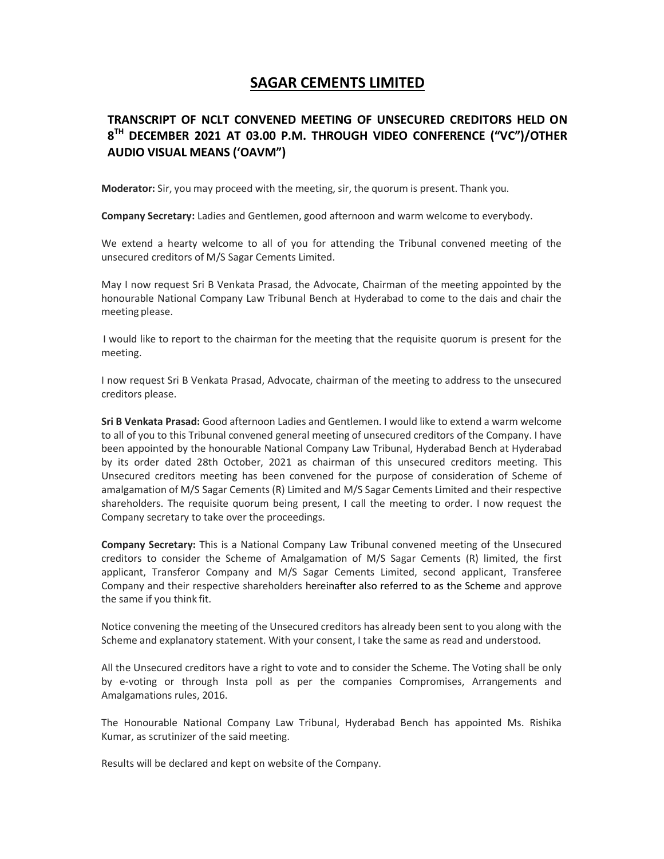## SAGAR CEMENTS LIMITED

## TRANSCRIPT OF NCLT CONVENED MEETING OF UNSECURED CREDITORS HELD ON 8<sup>TH</sup> DECEMBER 2021 AT 03.00 P.M. THROUGH VIDEO CONFERENCE ("VC")/OTHER AUDIO VISUAL MEANS ('OAVM")

Moderator: Sir, you may proceed with the meeting, sir, the quorum is present. Thank you.

Company Secretary: Ladies and Gentlemen, good afternoon and warm welcome to everybody.

We extend a hearty welcome to all of you for attending the Tribunal convened meeting of the unsecured creditors of M/S Sagar Cements Limited.

May I now request Sri B Venkata Prasad, the Advocate, Chairman of the meeting appointed by the honourable National Company Law Tribunal Bench at Hyderabad to come to the dais and chair the meeting please.

 I would like to report to the chairman for the meeting that the requisite quorum is present for the meeting.

I now request Sri B Venkata Prasad, Advocate, chairman of the meeting to address to the unsecured creditors please.

Sri B Venkata Prasad: Good afternoon Ladies and Gentlemen. I would like to extend a warm welcome to all of you to this Tribunal convened general meeting of unsecured creditors of the Company. I have been appointed by the honourable National Company Law Tribunal, Hyderabad Bench at Hyderabad by its order dated 28th October, 2021 as chairman of this unsecured creditors meeting. This Unsecured creditors meeting has been convened for the purpose of consideration of Scheme of amalgamation of M/S Sagar Cements (R) Limited and M/S Sagar Cements Limited and their respective shareholders. The requisite quorum being present, I call the meeting to order. I now request the Company secretary to take over the proceedings.

Company Secretary: This is a National Company Law Tribunal convened meeting of the Unsecured creditors to consider the Scheme of Amalgamation of M/S Sagar Cements (R) limited, the first applicant, Transferor Company and M/S Sagar Cements Limited, second applicant, Transferee Company and their respective shareholders hereinafter also referred to as the Scheme and approve the same if you think fit.

Notice convening the meeting of the Unsecured creditors has already been sent to you along with the Scheme and explanatory statement. With your consent, I take the same as read and understood.

All the Unsecured creditors have a right to vote and to consider the Scheme. The Voting shall be only by e-voting or through Insta poll as per the companies Compromises, Arrangements and Amalgamations rules, 2016.

The Honourable National Company Law Tribunal, Hyderabad Bench has appointed Ms. Rishika Kumar, as scrutinizer of the said meeting.

Results will be declared and kept on website of the Company.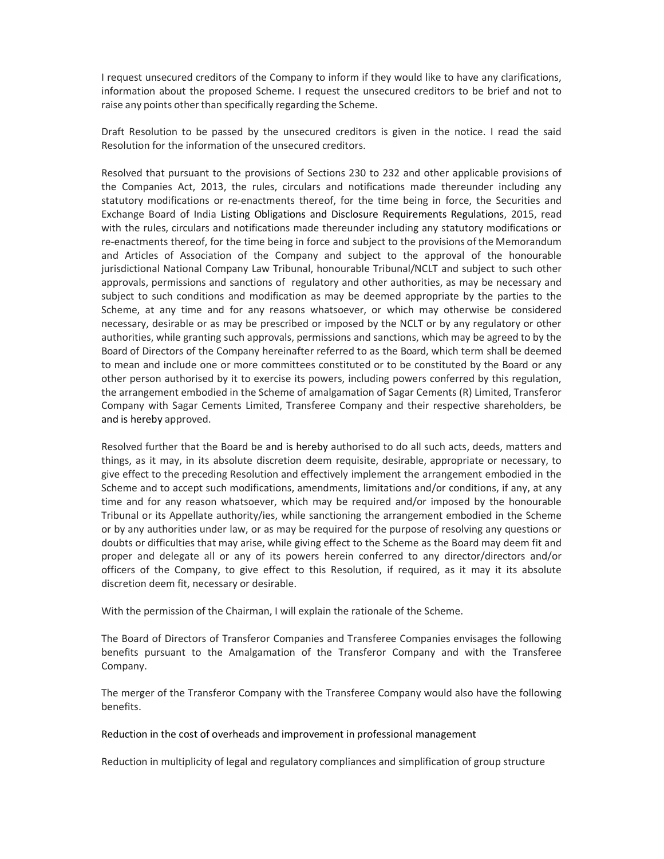I request unsecured creditors of the Company to inform if they would like to have any clarifications, information about the proposed Scheme. I request the unsecured creditors to be brief and not to raise any points other than specifically regarding the Scheme.

Draft Resolution to be passed by the unsecured creditors is given in the notice. I read the said Resolution for the information of the unsecured creditors.

Resolved that pursuant to the provisions of Sections 230 to 232 and other applicable provisions of the Companies Act, 2013, the rules, circulars and notifications made thereunder including any statutory modifications or re-enactments thereof, for the time being in force, the Securities and Exchange Board of India Listing Obligations and Disclosure Requirements Regulations, 2015, read with the rules, circulars and notifications made thereunder including any statutory modifications or re-enactments thereof, for the time being in force and subject to the provisions of the Memorandum and Articles of Association of the Company and subject to the approval of the honourable jurisdictional National Company Law Tribunal, honourable Tribunal/NCLT and subject to such other approvals, permissions and sanctions of regulatory and other authorities, as may be necessary and subject to such conditions and modification as may be deemed appropriate by the parties to the Scheme, at any time and for any reasons whatsoever, or which may otherwise be considered necessary, desirable or as may be prescribed or imposed by the NCLT or by any regulatory or other authorities, while granting such approvals, permissions and sanctions, which may be agreed to by the Board of Directors of the Company hereinafter referred to as the Board, which term shall be deemed to mean and include one or more committees constituted or to be constituted by the Board or any other person authorised by it to exercise its powers, including powers conferred by this regulation, the arrangement embodied in the Scheme of amalgamation of Sagar Cements (R) Limited, Transferor Company with Sagar Cements Limited, Transferee Company and their respective shareholders, be and is hereby approved.

Resolved further that the Board be and is hereby authorised to do all such acts, deeds, matters and things, as it may, in its absolute discretion deem requisite, desirable, appropriate or necessary, to give effect to the preceding Resolution and effectively implement the arrangement embodied in the Scheme and to accept such modifications, amendments, limitations and/or conditions, if any, at any time and for any reason whatsoever, which may be required and/or imposed by the honourable Tribunal or its Appellate authority/ies, while sanctioning the arrangement embodied in the Scheme or by any authorities under law, or as may be required for the purpose of resolving any questions or doubts or difficulties that may arise, while giving effect to the Scheme as the Board may deem fit and proper and delegate all or any of its powers herein conferred to any director/directors and/or officers of the Company, to give effect to this Resolution, if required, as it may it its absolute discretion deem fit, necessary or desirable.

With the permission of the Chairman, I will explain the rationale of the Scheme.

The Board of Directors of Transferor Companies and Transferee Companies envisages the following benefits pursuant to the Amalgamation of the Transferor Company and with the Transferee Company.

The merger of the Transferor Company with the Transferee Company would also have the following benefits.

Reduction in the cost of overheads and improvement in professional management

Reduction in multiplicity of legal and regulatory compliances and simplification of group structure